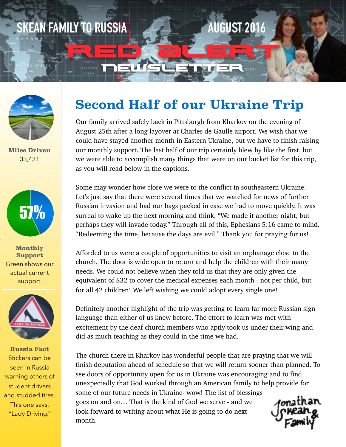



**Miles Driven** 33,431



**Monthly Support** Green shows our actual current support.



**Russia Fact** Stickers can be seen in Russia warning others of student drivers and studded tires. This one says, "Lady Driving."

# **Second Half of our Ukraine Trip**

Our family arrived safely back in Pittsburgh from Kharkov on the evening of August 25th after a long layover at Charles de Gaulle airport. We wish that we could have stayed another month in Eastern Ukraine, but we have to finish raising our monthly support. The last half of our trip certainly blew by like the first, but we were able to accomplish many things that were on our bucket list for this trip, as you will read below in the captions.

Some may wonder how close we were to the conflict in southeastern Ukraine. Let's just say that there were several times that we watched for news of further Russian invasion and had our bags packed in case we had to move quickly. It was surreal to wake up the next morning and think, "We made it another night, but perhaps they will invade today." Through all of this, Ephesians 5:16 came to mind. "Redeeming the time, because the days are evil." Thank you for praying for us!

Afforded to us were a couple of opportunities to visit an orphanage close to the church. The door is wide open to return and help the children with their many needs. We could not believe when they told us that they are only given the equivalent of \$32 to cover the medical expenses each month - not per child, but for all 42 children! We left wishing we could adopt every single one!

Definitely another highlight of the trip was getting to learn far more Russian sign language than either of us knew before. The effort to learn was met with excitement by the deaf church members who aptly took us under their wing and did as much teaching as they could in the time we had.

The church there in Kharkov has wonderful people that are praying that we will finish deputation ahead of schedule so that we will return sooner than planned. To see doors of opportunity open for us in Ukraine was encouraging and to find unexpectedly that God worked through an American family to help provide for some of our future needs in Ukraine- wow! The list of blessings goes on and on… That is the kind of God we serve - and we look forward to writing about what He is going to do next month.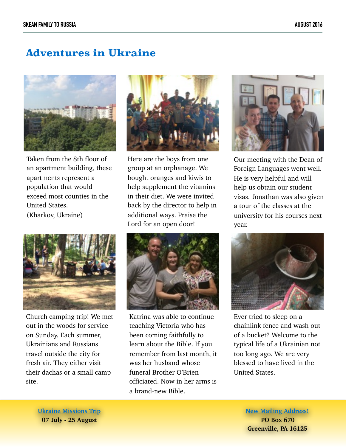## **Adventures in Ukraine**



Taken from the 8th floor of an apartment building, these apartments represent a population that would exceed most counties in the United States. (Kharkov, Ukraine)



Church camping trip! We met out in the woods for service on Sunday. Each summer, Ukrainians and Russians travel outside the city for fresh air. They either visit their dachas or a small camp site.



Here are the boys from one group at an orphanage. We bought oranges and kiwis to help supplement the vitamins in their diet. We were invited back by the director to help in additional ways. Praise the Lord for an open door!



Katrina was able to continue teaching Victoria who has been coming faithfully to learn about the Bible. If you remember from last month, it was her husband whose funeral Brother O'Brien officiated. Now in her arms is a brand-new Bible.



Our meeting with the Dean of Foreign Languages went well. He is very helpful and will help us obtain our student visas. Jonathan was also given a tour of the classes at the university for his courses next year.



Ever tried to sleep on a chainlink fence and wash out of a bucket? Welcome to the typical life of a Ukrainian not too long ago. We are very blessed to have lived in the United States.

**Ukraine Missions Trip 07 July - 25 August**

### **New Mailing Address! PO Box 670**

**Greenville, PA 16125**